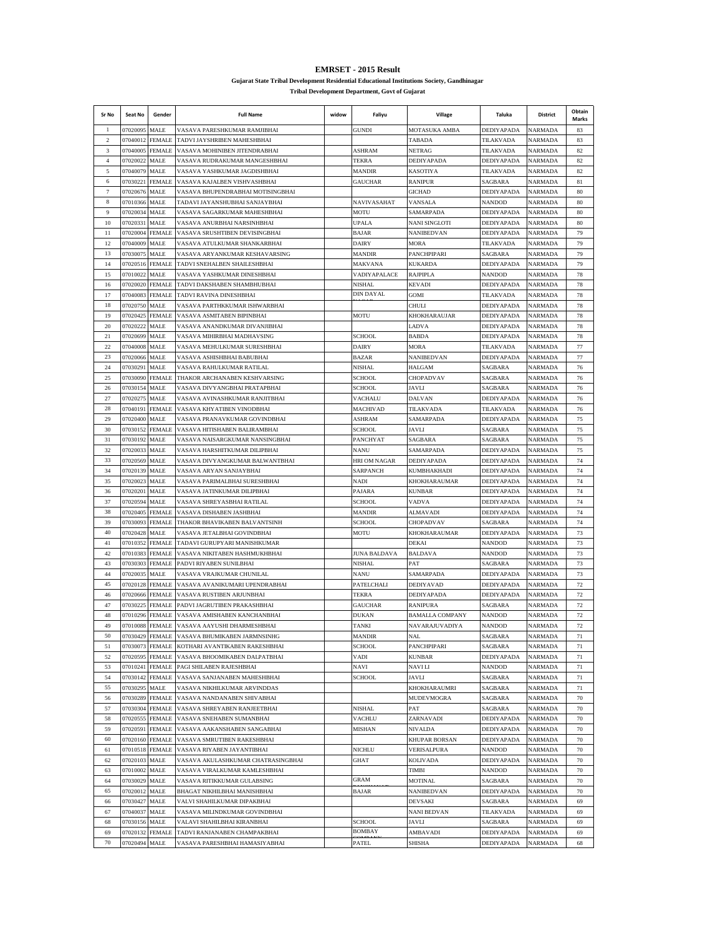**EMRSET - 2015 Result**

**Gujarat State Tribal Development Residential Educational Institutions Society, Gandhinagar**

**Tribal Development Department, Govt of Gujarat**

| Sr No               | Seat No                   | Gender                         | <b>Full Name</b>                                                                         | widow | Faliyu                         | Village                            | Taluka                          | District                         | Obtain<br><b>Marks</b> |
|---------------------|---------------------------|--------------------------------|------------------------------------------------------------------------------------------|-------|--------------------------------|------------------------------------|---------------------------------|----------------------------------|------------------------|
| -1                  | 07020095                  | MALE                           | VASAVA PARESHKUMAR RAMJIBHAI                                                             |       | <b>GUNDI</b>                   | MOTASUKA AMBA                      | <b>DEDIYAPADA</b>               | <b>NARMADA</b>                   | 83                     |
| $\overline{c}$<br>3 | 07040012<br>07040005      | <b>FEMALE</b><br><b>FEMALE</b> | TADVI JAYSHRIBEN MAHESHBHAI<br>VASAVA MOHINIBEN JITENDRABHAI                             |       | ASHRAM                         | <b>TABADA</b><br><b>NETRAG</b>     | TILAKVADA<br>TILAKVADA          | NARMADA                          | 83<br>82               |
| $\overline{4}$      | 07020022                  | MALE                           | VASAVA RUDRAKUMAR MANGESHBHAI                                                            |       | TEKRA                          | DEDIYAPADA                         | DEDIYAPADA                      | NARMADA<br>NARMADA               | 82                     |
| $\sim$              | 07040079                  | MALE                           | VASAVA YASHKUMAR JAGDISHBHAI                                                             |       | <b>MANDIR</b>                  | <b>KASOTIYA</b>                    | TILAKVADA                       | NARMADA                          | 82                     |
| 6                   | 07030221                  | <b>FEMALE</b>                  | VASAVA KAJALBEN VISHVASHBHAI                                                             |       | <b>GAUCHAR</b>                 | <b>RANIPUR</b>                     | SAGBARA                         | <b>NARMADA</b>                   | 81                     |
| $\overline{7}$      | 07020676                  | MALE                           | VASAVA BHUPENDRABHAI MOTISINGBHAI                                                        |       |                                | <b>GICHAD</b>                      | DEDIYAPADA                      | <b>NARMADA</b>                   | 80                     |
| 8                   | 07010366                  | <b>MALE</b>                    | TADAVI JAYANSHUBHAI SANJAYBHAI                                                           |       | NAVIVASAHAT                    | VANSALA                            | NANDOD                          | NARMADA                          | 80                     |
| $\overline{9}$      | 07020034                  | MALE                           | VASAVA SAGARKUMAR MAHESHBHAI                                                             |       | MOTU                           | SAMARPADA                          | DEDIYAPADA                      | NARMADA                          | 80                     |
| 10<br>11            | 07020331<br>07020004      | <b>MALE</b><br><b>FEMALE</b>   | VASAVA ANURBHAI NARSINHBHAI<br>VASAVA SRUSHTIBEN DEVISINGBHAI                            |       | UPALA<br><b>BAJAR</b>          | NANI SINGLOTI<br><b>NANIBEDVAN</b> | DEDIYAPADA<br><b>DEDIYAPADA</b> | NARMADA                          | 80<br>79               |
| 12                  | 07040009                  | <b>MALE</b>                    | VASAVA ATULKUMAR SHANKARBHAI                                                             |       | <b>DAIRY</b>                   | MORA                               | TILAKVADA                       | NARMADA<br><b>NARMADA</b>        | 79                     |
| 13                  | 07030075                  | MALE                           | VASAVA ARYANKUMAR KESHAVARSING                                                           |       | <b>MANDIR</b>                  | PANCHPIPARI                        | <b>SAGBARA</b>                  | NARMADA                          | 79                     |
| 14                  | 07020516                  | <b>FEMALE</b>                  | TADVI SNEHALBEN SHAILESHBHAI                                                             |       | MAKVANA                        | <b>KUKARDA</b>                     | DEDIYAPADA                      | <b>NARMADA</b>                   | 79                     |
| 15                  | 07010022                  | MALE                           | VASAVA YASHKUMAR DINESHBHAI                                                              |       | VADIYAPALACE                   | <b>RAJPIPLA</b>                    | NANDOD                          | NARMADA                          | 78                     |
| 16                  |                           | 07020020 FEMALE                | TADVI DAKSHABEN SHAMBHUBHAI                                                              |       | NISHAL                         | <b>KEVADI</b>                      | DEDIYAPADA                      | NARMADA                          | 78                     |
| 17                  | 07040083                  | <b>FEMALE</b>                  | TADVI RAVINA DINESHBHAI                                                                  |       | DIN DAYAL                      | GOMI                               | TILAKVADA                       | NARMADA                          | 78                     |
| 18<br>19            | 07020750<br>07020425      | MALE<br><b>FEMALE</b>          | VASAVA PARTHKKUMAR ISHWARBHAI<br>VASAVA ASMITABEN BIPINBHAI                              |       | MOTU                           | СНИ И Л<br><b>KHOKHARAUJAR</b>     | DEDIYAPADA<br><b>DEDIYAPADA</b> | NARMADA<br>NARMADA               | 78<br>78               |
| 20                  | 07020222                  | MALE                           | VASAVA ANANDKUMAR DIVANJIBHAI                                                            |       |                                | LADVA                              | DEDIYAPADA                      | <b>NARMADA</b>                   | 78                     |
| 21                  | 07020699                  | MALE                           | VASAVA MIHIRBHAI MADHAVSING                                                              |       | <b>SCHOOL</b>                  | <b>BABDA</b>                       | <b>DEDIYAPADA</b>               | NARMADA                          | 78                     |
| 22                  | 07040008                  | <b>MALE</b>                    | VASAVA MEHULKUMAR SURESHBHAI                                                             |       | <b>DAIRY</b>                   | MORA                               | TILAKVADA                       | NARMADA                          | 77                     |
| 23                  | 07020066                  | <b>MALE</b>                    | VASAVA ASHISHBHAI BABUBHAI                                                               |       | BAZAR                          | NANIBEDVAN                         | DEDIYAPADA                      | NARMADA                          | 77                     |
| 24                  | 07030291                  | <b>MALE</b>                    | VASAVA RAHULKUMAR RATILAL                                                                |       | NISHAL                         | <b>HALGAM</b>                      | SAGBARA                         | NARMADA                          | 76                     |
| 25                  | 07030090                  | <b>FEMALE</b>                  | THAKOR ARCHANABEN KESHVARSING                                                            |       | <b>SCHOOL</b>                  | CHOPADVAV                          | SAGBARA                         | <b>NARMADA</b>                   | 76                     |
| 26                  | 07030154                  | <b>MALE</b>                    | VASAVA DIVYANGBHAI PRATAPBHAI                                                            |       | SCHOOL                         | JAVLI                              | <b>SAGBARA</b>                  | NARMADA                          | 76                     |
| 27<br>28            | 07020275<br>07040191      | <b>MALE</b><br><b>FEMALE</b>   | VASAVA AVINASHKUMAR RANJITBHAI                                                           |       | VACHALU<br>MACHIVAD            | <b>DALVAN</b>                      | DEDIYAPADA                      | NARMADA                          | 76                     |
| 29                  | 07020400                  | <b>MALE</b>                    | VASAVA KHYATIBEN VINODBHAI<br>VASAVA PRANAVKUMAR GOVINDBHAI                              |       | ASHRAM                         | TILAKVADA<br>SAMARPADA             | TILAKVADA<br>DEDIYAPADA         | NARMADA<br>NARMADA               | 76<br>75               |
| 30                  | 07030152                  | <b>FEMALE</b>                  | VASAVA HITISHABEN BALIRAMBHAI                                                            |       | SCHOOL.                        | <b>JAVLI</b>                       | SAGBARA                         | NARMADA                          | 75                     |
| 31                  | 07030192                  | MALE                           | VASAVA NAISARGKUMAR NANSINGBHAI                                                          |       | PANCHYAT                       | SAGBARA                            | SAGBARA                         | NARMADA                          | 75                     |
| 32                  | 07020033                  | MALE                           | VASAVA HARSHITKUMAR DILIPBHAI                                                            |       | NANU                           | SAMARPADA                          | <b>DEDIYAPADA</b>               | NARMADA                          | 75                     |
| 33                  | 07020569                  | <b>MALE</b>                    | VASAVA DIVYANGKUMAR BALWANTBHAI                                                          |       | HRI OM NAGAR                   | DEDIYAPADA                         | DEDIYAPADA                      | NARMADA                          | 74                     |
| 34                  | 07020139                  | MALE                           | VASAVA ARYAN SANJAYBHAI                                                                  |       | SARPANCH                       | KUMBHAKHADI                        | DEDIYAPADA                      | NARMADA                          | 74                     |
| 35                  | 07020023                  | <b>MALE</b>                    | VASAVA PARIMALBHAI SURESHBHAI                                                            |       | NADI                           | KHOKHARAUMAR                       | DEDIYAPADA                      | NARMADA                          | 74                     |
| 36<br>37            | 07020201<br>07020594      | <b>MALE</b><br><b>MALE</b>     | VASAVA JATINKUMAR DILIPBHAI<br>VASAVA SHREYASBHAI RATILAL                                |       | <b>PAJARA</b><br><b>SCHOOL</b> | KUNBAR<br>VADVA                    | DEDIYAPADA<br>DEDIYAPADA        | NARMADA<br>NARMADA               | 74<br>74               |
| 38                  | 07020405                  | <b>FEMALE</b>                  | VASAVA DISHABEN JASHBHAI                                                                 |       | <b>MANDIR</b>                  | ALMAVADI                           | <b>DEDIYAPADA</b>               | NARMADA                          | 74                     |
| 39                  | 07030093                  | <b>FEMALE</b>                  | THAKOR BHAVIKABEN BALVANTSINH                                                            |       | SCHOOL                         | CHOPADVAV                          | SAGBARA                         | NARMADA                          | 74                     |
| 40                  | 07020428                  | MALE                           | VASAVA JETALBHAI GOVINDBHAI                                                              |       | MOTU                           | KHOKHARAUMAR                       | DEDIYAPADA                      | NARMADA                          | 73                     |
| 41                  | 07010352 FEMALE           |                                | TADAVI GURUPYARI MANISHKUMAR                                                             |       |                                | DEKAI                              | NANDOD                          | NARMADA                          | 73                     |
| 42                  | 07010383                  | <b>FEMALE</b>                  | VASAVA NIKITABEN HASHMUKHBHAI                                                            |       | JUNA BALDAVA                   | BALDAVA                            | NANDOD                          | NARMADA                          | 73                     |
| 43                  | 07030303                  | <b>FEMALE</b>                  | PADVI RIYABEN SUNILBHAI                                                                  |       | NISHAL                         | <b>PAT</b>                         | SAGBARA                         | NARMADA                          | 73                     |
| 44<br>45            | 07020035<br>07020128      | MALE<br><b>FEMALE</b>          | VASAVA VRAJKUMAR CHUNILAL<br>VASAVA AVANIKUMARI UPENDRABHAI                              |       | NANU<br>PATELCHALI             | <b>SAMARPADA</b><br>DEDIYAVAD      | <b>DEDIYAPADA</b><br>DEDIYAPADA | <b>NARMADA</b><br><b>NARMADA</b> | 73<br>72               |
| 46                  | 07020666                  | <b>FEMALE</b>                  | VASAVA RUSTIBEN ARJUNBHAI                                                                |       | TEKRA                          | DEDIYAPADA                         | DEDIYAPADA                      | NARMADA                          | 72                     |
| 47                  | 07030225                  | <b>FEMALE</b>                  | PADVI JAGRUTIBEN PRAKASHBHAI                                                             |       | <b>GAUCHAR</b>                 | <b>RANIPURA</b>                    | SAGBARA                         | NARMADA                          | 72                     |
| 48                  | 07010296                  | FEMALE                         | VASAVA AMISHABEN KANCHANBHAI                                                             |       | DUKAN                          | <b>BAMALLA COMPANY</b>             | NANDOD                          | NARMADA                          | 72                     |
| 49                  | 07010088                  | <b>FEMALE</b>                  | VASAVA AAYUSHI DHARMESHBHAI                                                              |       | <b>TANKI</b>                   | NAVARAJUVADIYA                     | <b>NANDOD</b>                   | <b>NARMADA</b>                   | 72                     |
| 50                  |                           |                                | 07030429 FEMALE VASAVA BHUMIKABEN JARMNSINHG                                             |       | <b>MANDIR</b>                  | NAL                                | SAGBARA                         | NARMADA                          | 71                     |
| 51                  |                           |                                | 07030073 FEMALE KOTHARI AVANTIKABEN RAKESHBHAI                                           |       | SCHOOL                         | PANCHPIPARI                        | SAGBARA                         | NARMADA                          | 71                     |
| 52                  | 07020595                  | <b>FEMALE</b>                  | VASAVA BHOOMIKABEN DALPATBHAI                                                            |       | VADI                           | <b>KUNBAR</b>                      | DEDIYAPADA<br><b>NANDOD</b>     | <b>NARMADA</b>                   | 71                     |
| 53<br>54            |                           |                                | 07010241 FEMALE PAGI SHILABEN RAJESHBHAI<br>07030142 FEMALE VASAVA SANJANABEN MAHESHBHAI |       | NAVI<br><b>SCHOOL</b>          | <b>NAVILI</b><br>JAVLI             | SAGBARA                         | NARMADA<br>NARMADA               | 71<br>71               |
| 55                  | 07030295                  | MALE                           | VASAVA NIKHILKUMAR ARVINDDAS                                                             |       |                                | KHOKHARAUMRI                       | SAGBARA                         | NARMADA                          | 71                     |
| 56                  | 07030289                  | <b>FEMALE</b>                  | VASAVA NANDANABEN SHIVABHAI                                                              |       |                                | MUDEVMOGRA                         | SAGBARA                         | NARMADA                          | 70                     |
| 57                  | 07030304                  | <b>FEMALE</b>                  | VASAVA SHREYABEN RANJEETBHAI                                                             |       | NISHAL                         | PAT                                | SAGBARA                         | <b>NARMADA</b>                   | 70                     |
| 58                  | 07020555                  | <b>FEMALE</b>                  | VASAVA SNEHABEN SUMANBHAI                                                                |       | VACHLU                         | ZARNAVADI                          | DEDIYAPADA                      | <b>NARMADA</b>                   | 70                     |
| 59                  | 07020591                  | <b>FEMALE</b>                  | VASAVA AAKANSHABEN SANGABHAI                                                             |       | MISHAN                         | NIVALDA                            | <b>DEDIYAPADA</b>               | <b>NARMADA</b>                   | 70                     |
| 60                  | 07020160                  | <b>FEMALE</b>                  | VASAVA SMRUTIBEN RAKESHBHAI                                                              |       |                                | KHUPAR BORSAN                      | DEDIYAPADA                      | NARMADA                          | 70                     |
| 61                  | 07010518                  | <b>FEMALE</b>                  | VASAVA RIYABEN JAYANTIBHAI                                                               |       | NICHLU                         | VERISALPURA                        | NANDOD                          | NARMADA                          | 70                     |
| 62<br>63            | 07020103<br>07010002 MALE | MALE                           | VASAVA AKULASHKUMAR CHATRASINGBHAI<br>VASAVA VIRALKUMAR KAMLESHBHAI                      |       | GHAT                           | <b>KOLIVADA</b><br>TIMBI           | DEDIYAPADA<br><b>NANDOD</b>     | NARMADA<br>NARMADA               | 70<br>70               |
| 64                  | 07030029 MALE             |                                | VASAVA RITIKKUMAR GULABSING                                                              |       | GRAM                           | MOTINAL                            | SAGBARA                         | <b>NARMADA</b>                   | 70                     |
| 65                  | 07020012                  | MALE                           | BHAGAT NIKHILBHAI MANISHBHAI                                                             |       | BAJAR                          | NANIBEDVAN                         | DEDIYAPADA                      | <b>NARMADA</b>                   | 70                     |
| 66                  | 07030427 MALE             |                                | VALVI SHAHILKUMAR DIPAKBHAI                                                              |       |                                | <b>DEVSAKI</b>                     | SAGBARA                         | NARMADA                          | 69                     |
| 67                  | 07040037 MALE             |                                | VASAVA MILINDKUMAR GOVINDBHAI                                                            |       |                                | <b>NANI BEDVAN</b>                 | TILAKVADA                       | NARMADA                          | 69                     |
| 68                  | 07030156                  | MALE                           | VALAVI SHAHILBHAI KIRANBHAI                                                              |       | <b>SCHOOL</b>                  | JAVLI                              | SAGBARA                         | NARMADA                          | 69                     |
| 69                  | 07020132 FEMALE           |                                | TADVI RANJANABEN CHAMPAKBHAI                                                             |       | <b>BOMBAY</b>                  | AMBAVADI                           | DEDIYAPADA                      | NARMADA                          | 69                     |
| 70                  | 07020494                  | MALE                           | VASAVA PARESHBHAI HAMASIYABHAI                                                           |       | PATEL                          | SHISHA                             | DEDIYAPADA                      | <b>NARMADA</b>                   | 68                     |